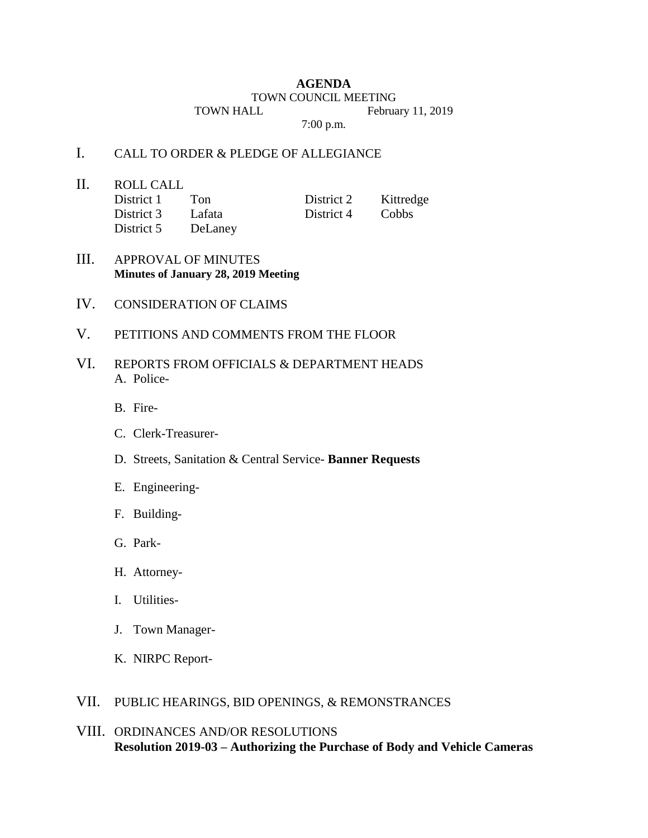#### **AGENDA**

#### TOWN COUNCIL MEETING

TOWN HALL February 11, 2019

7:00 p.m.

# I. CALL TO ORDER & PLEDGE OF ALLEGIANCE

II. ROLL CALL

| District 1 | Ton     | District 2 | Kittredge |
|------------|---------|------------|-----------|
| District 3 | Lafata  | District 4 | Cobbs     |
| District 5 | DeLaney |            |           |

### III. APPROVAL OF MINUTES **Minutes of January 28, 2019 Meeting**

- IV. CONSIDERATION OF CLAIMS
- V. PETITIONS AND COMMENTS FROM THE FLOOR
- VI. REPORTS FROM OFFICIALS & DEPARTMENT HEADS A. Police-
	- B. Fire-
	- C. Clerk-Treasurer-
	- D. Streets, Sanitation & Central Service- **Banner Requests**
	- E. Engineering-
	- F. Building-
	- G. Park-
	- H. Attorney-
	- I. Utilities-
	- J. Town Manager-
	- K. NIRPC Report-

# VII. PUBLIC HEARINGS, BID OPENINGS, & REMONSTRANCES

VIII. ORDINANCES AND/OR RESOLUTIONS **Resolution 2019-03 – Authorizing the Purchase of Body and Vehicle Cameras**